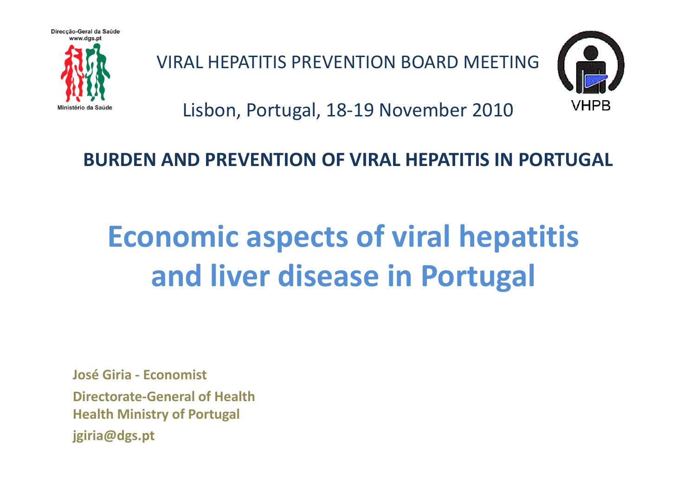

VIRAL HEPATITIS PREVENTION BOARD MEETING



Lisbon, Portugal, 18‐19 November 2010

# **BURDEN AND PREVENTION OF VIRAL HEPATITIS IN PORTUGAL**

# **Economic aspects of viral hepatitis and liver disease in Portugal**

**José Giria ‐ Economist**

**Directorate‐General of HealthHealth Ministry of Portugal jgiria@dgs.pt**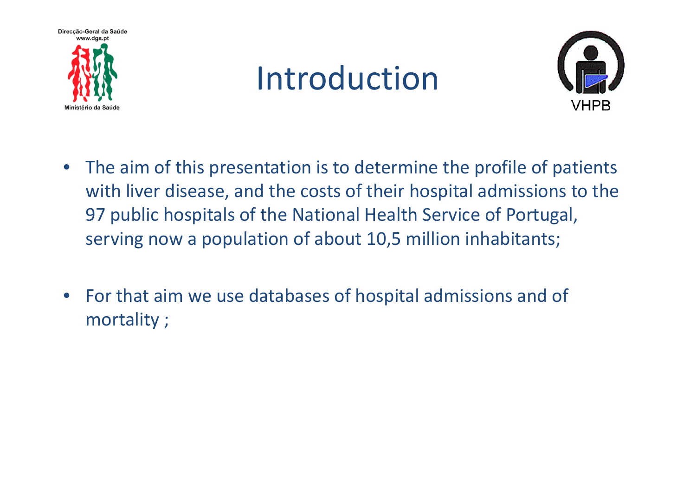





- • The aim of this presentation is to determine the profile of patients with liver disease, and the costs of their hospital admissions to the 97 public hospitals of the National Health Service of Portugal, serving now <sup>a</sup> population of about 10,5 million inhabitants;
- • For that aim we use databases of hospital admissions and of mortality ;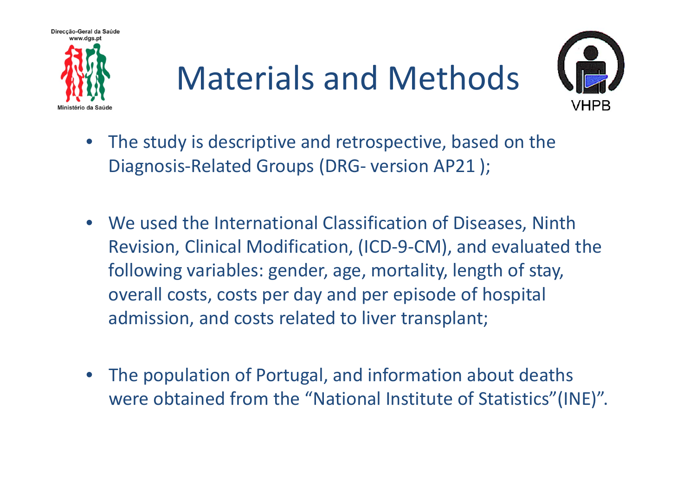

# Materials and Methods



- • The study is descriptive and retrospective, based on the Diagnosis ‐Related Groups (DRG ‐ version AP21 );
- We used the International Classification of Diseases, Ninth Revision, Clinical Modification, (ICD ‐ 9 ‐CM), and evaluated the following variables: gender, age, mortality, length of stay, overall costs, costs per day and per episode of hospital admission, and costs related to liver transplant;
- The population of Portugal, and information about deaths were obtained from the "National Institute of Statistics"(INE)".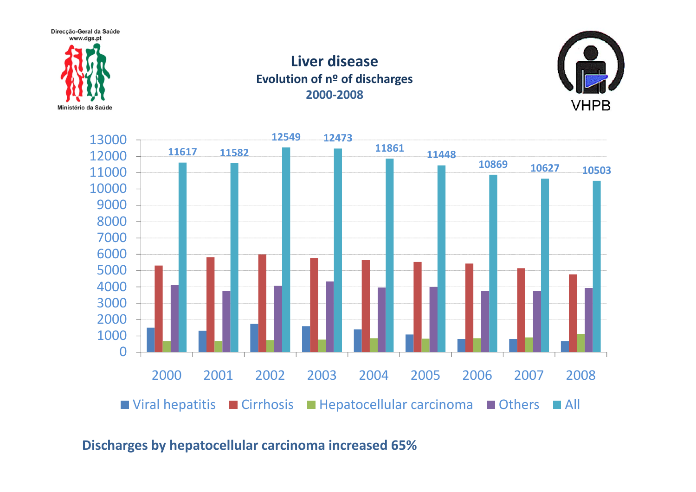Direcção-Geral da Saúde www.das.pt



#### **Liver diseaseEvolution of <sup>n</sup><sup>º</sup> of discharges ‐2008**





#### **Discharges by hepatocellular carcinoma increased 65%**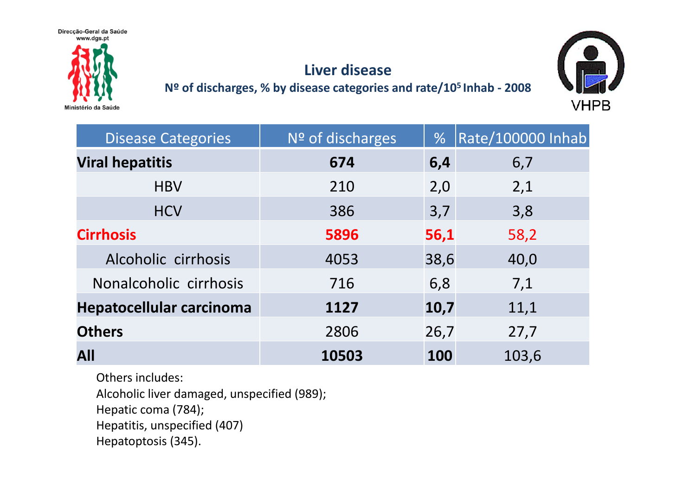

## **Liver disease**

#### **Nº of discharges, % by disease categories and rate/105 Inhab ‐ 2008**



| <b>Disease Categories</b> | Nº of discharges | %    | <b>Rate/100000 Inhab</b> |
|---------------------------|------------------|------|--------------------------|
| <b>Viral hepatitis</b>    | 674              | 6,4  | 6,7                      |
| <b>HBV</b>                | 210              | 2,0  | 2,1                      |
| <b>HCV</b>                | 386              | 3,7  | 3,8                      |
| <b>Cirrhosis</b>          | 5896             | 56,1 | 58,2                     |
| Alcoholic cirrhosis       | 4053             | 38,6 | 40,0                     |
| Nonalcoholic cirrhosis    | 716              | 6,8  | 7,1                      |
| Hepatocellular carcinoma  | 1127             | 10,7 | 11,1                     |
| <b>Others</b>             | 2806             | 26,7 | 27,7                     |
| <b>All</b>                | 10503            | 100  | 103,6                    |

Others includes:

Alcoholic liver damaged, unspecified (989);

Hepatic coma (784);

```
Hepatitis, unspecified (407)
```
Hepatoptosis (345).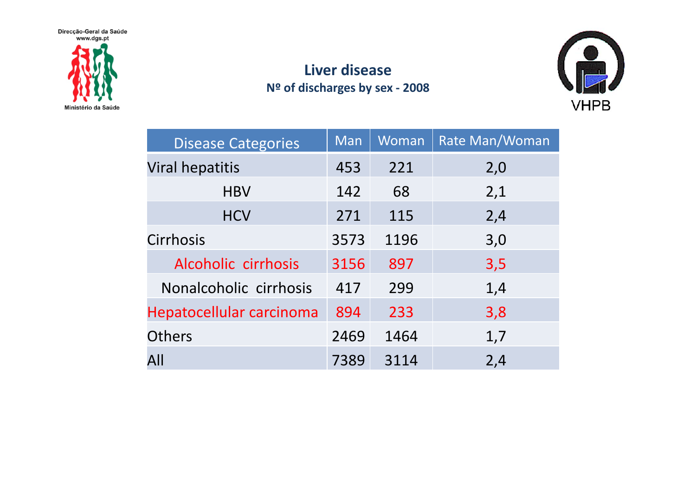Direcção-Geral da Saúde<br>www.dgs.pt



## **Liver disease Nº of discharges by sex ‐ 2008**



| <b>Disease Categories</b> | Man  | Woman | Rate Man/Woman |
|---------------------------|------|-------|----------------|
| <b>Viral hepatitis</b>    | 453  | 221   | 2,0            |
| <b>HBV</b>                | 142  | 68    | 2,1            |
| <b>HCV</b>                | 271  | 115   | 2,4            |
| Cirrhosis                 | 3573 | 1196  | 3,0            |
| Alcoholic cirrhosis       | 3156 | 897   | 3,5            |
| Nonalcoholic cirrhosis    | 417  | 299   | 1,4            |
| Hepatocellular carcinoma  | 894  | 233   | 3,8            |
| <b>Others</b>             | 2469 | 1464  | 1,7            |
| All                       | 7389 | 3114  | 2,4            |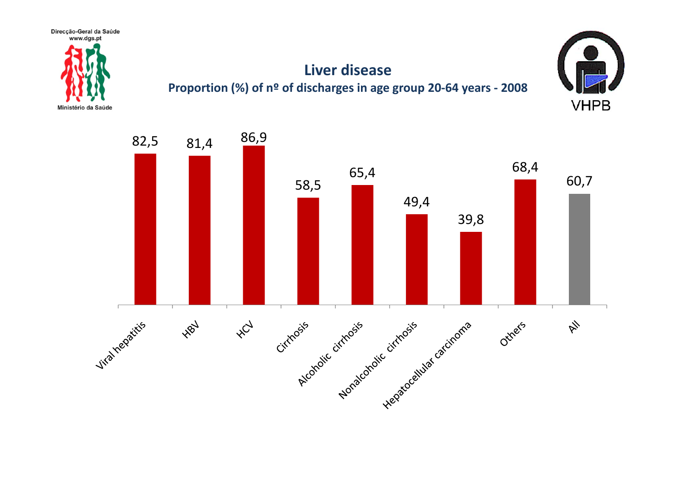

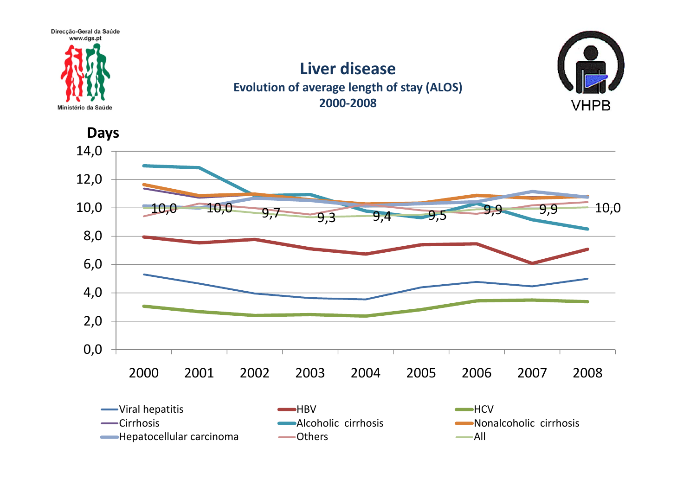

### **Liver diseaseEvolution of average length of stay (ALOS) 2000‐2008**



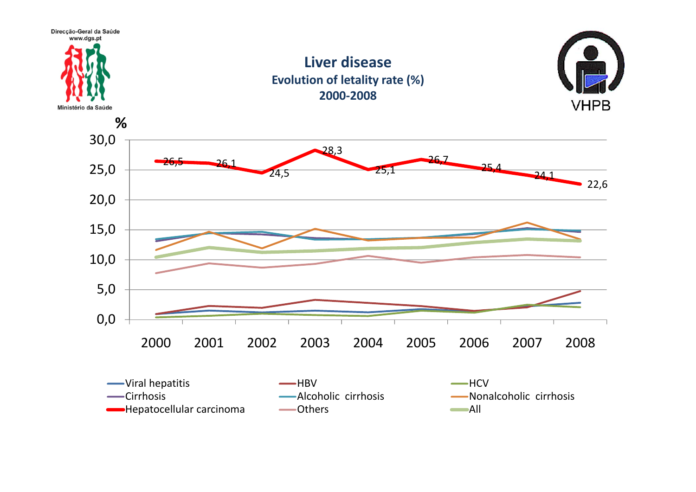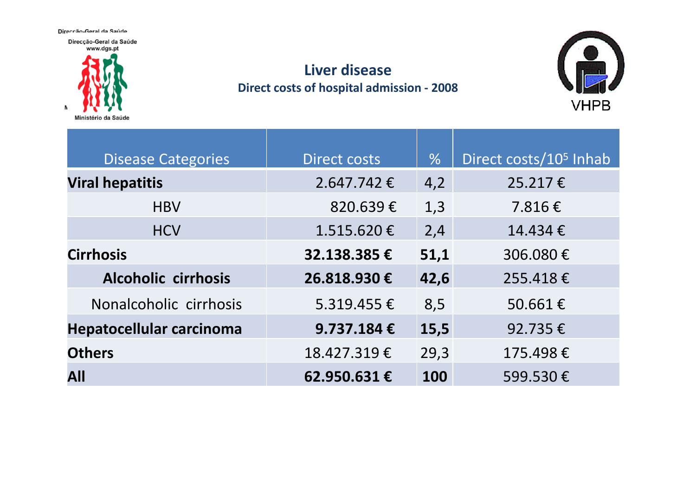Direccão-Geral da Saúde

N

Direcção-Geral da Saúde www.dgs.pt

# Ministério da Saúde

# **Liver disease Direct costs of hospital admission ‐ 2008**



| <b>Disease Categories</b>       | <b>Direct costs</b> | $\frac{0}{6}$ | Direct costs/10 <sup>5</sup> Inhab |
|---------------------------------|---------------------|---------------|------------------------------------|
| <b>Viral hepatitis</b>          | $2.647.742 \t€$     | 4,2           | 25.217€                            |
| <b>HBV</b>                      | 820.639€            | 1,3           | 7.816€                             |
| <b>HCV</b>                      | $1.515.620 \in$     | 2,4           | 14.434€                            |
| <b>Cirrhosis</b>                | 32.138.385€         | 51,1          | 306.080€                           |
| Alcoholic cirrhosis             | 26.818.930€         | 42,6          | 255.418€                           |
| Nonalcoholic cirrhosis          | $5.319.455 \in$     | 8,5           | 50.661€                            |
| <b>Hepatocellular carcinoma</b> | 9.737.184€          | 15,5          | 92.735€                            |
| <b>Others</b>                   | 18.427.319€         | 29,3          | 175.498€                           |
| All                             | 62.950.631€         | 100           | 599.530€                           |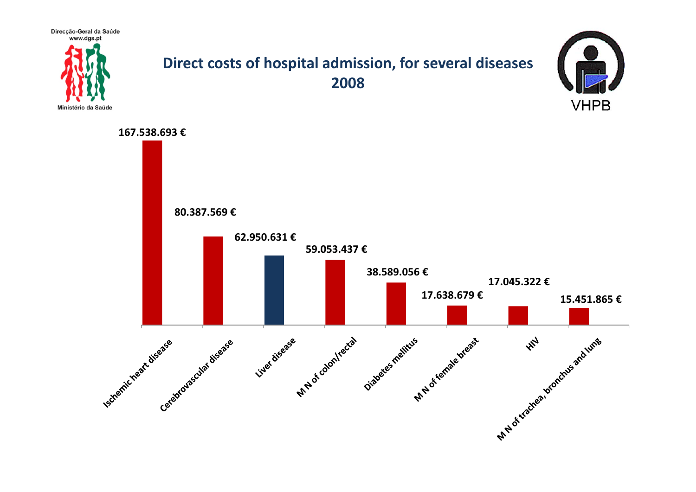Direcção-Geral da Saúde



## **Direct costs of hospital admission, for several diseases 2008**



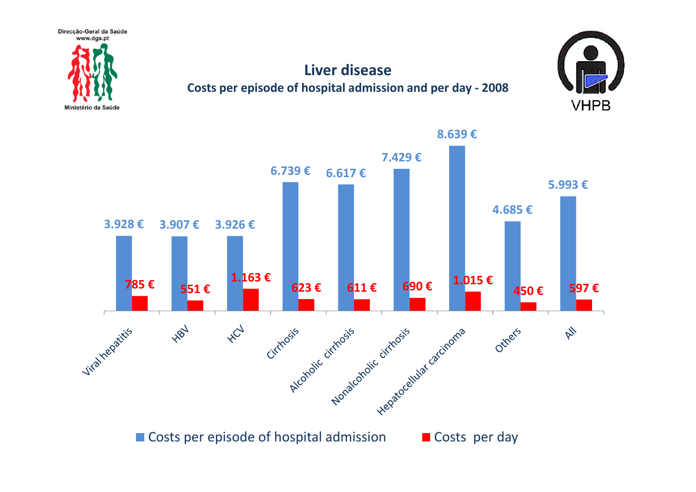

# **Liver disease**

#### **Costs per episode of hospital admission and per day ‐ 2008**





Costs per episode of hospital admission **Costs per day**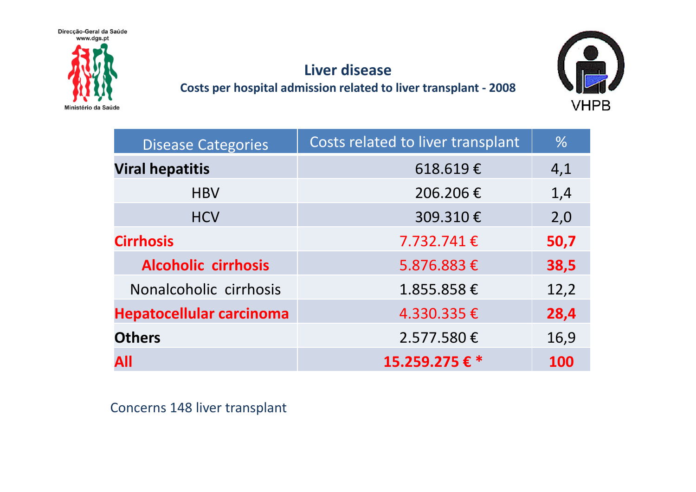



**Costs per hospital admission related to liver transplant ‐ 2008**



| <b>Disease Categories</b>       | Costs related to liver transplant | $\frac{0}{6}$ |
|---------------------------------|-----------------------------------|---------------|
| <b>Viral hepatitis</b>          | 618.619€                          | 4,1           |
| <b>HBV</b>                      | 206.206€                          | 1,4           |
| <b>HCV</b>                      | 309.310€                          | 2,0           |
| <b>Cirrhosis</b>                | $7.732.741 \in$                   | 50,7          |
| <b>Alcoholic cirrhosis</b>      | 5.876.883€                        | 38,5          |
| Nonalcoholic cirrhosis          | 1.855.858€                        | 12,2          |
| <b>Hepatocellular carcinoma</b> | 4.330.335€                        | 28,4          |
| <b>Others</b>                   | 2.577.580€                        | 16,9          |
| All                             | 15.259.275€ *                     | 100           |

Concerns 148 liver transplant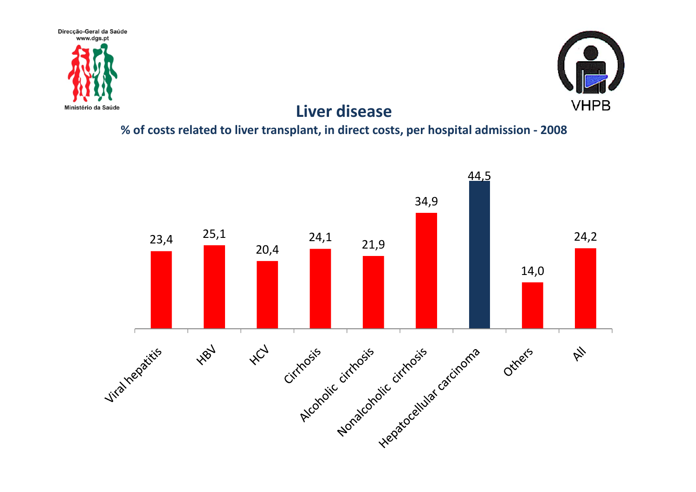



### **Liver disease**

#### **% of costs related to liver transplant, in direct costs, per hospital admission ‐ 2008**

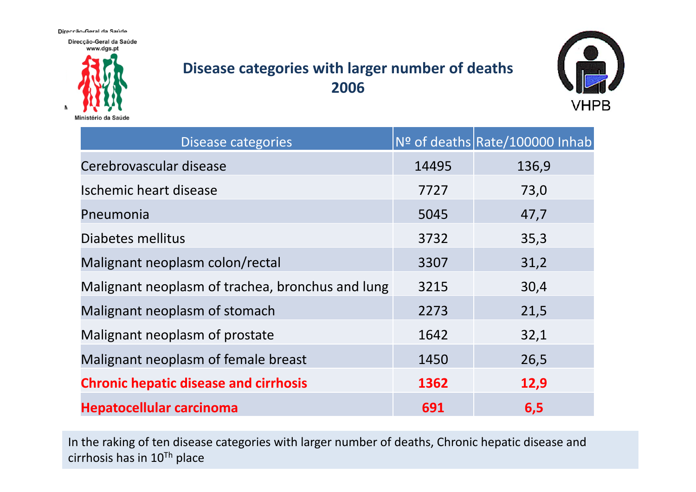Direccão-Geral da Saúde

Direcção-Geral da Saúde www.dgs.pt



# **Disease categories with larger number of deaths 2006**



| Disease categories                               |       | Nº of deaths Rate/100000 Inhab |
|--------------------------------------------------|-------|--------------------------------|
| Cerebrovascular disease                          | 14495 | 136,9                          |
| Ischemic heart disease                           | 7727  | 73,0                           |
| Pneumonia                                        | 5045  | 47,7                           |
| Diabetes mellitus                                | 3732  | 35,3                           |
| Malignant neoplasm colon/rectal                  | 3307  | 31,2                           |
| Malignant neoplasm of trachea, bronchus and lung | 3215  | 30,4                           |
| Malignant neoplasm of stomach                    | 2273  | 21,5                           |
| Malignant neoplasm of prostate                   | 1642  | 32,1                           |
| Malignant neoplasm of female breast              | 1450  | 26,5                           |
| <b>Chronic hepatic disease and cirrhosis</b>     | 1362  | 12,9                           |
| <b>Hepatocellular carcinoma</b>                  | 691   | 6, 5                           |

In the raking of ten disease categories with larger number of deaths, Chronic hepatic disease and cirrhosis has in 10<sup>Th</sup> place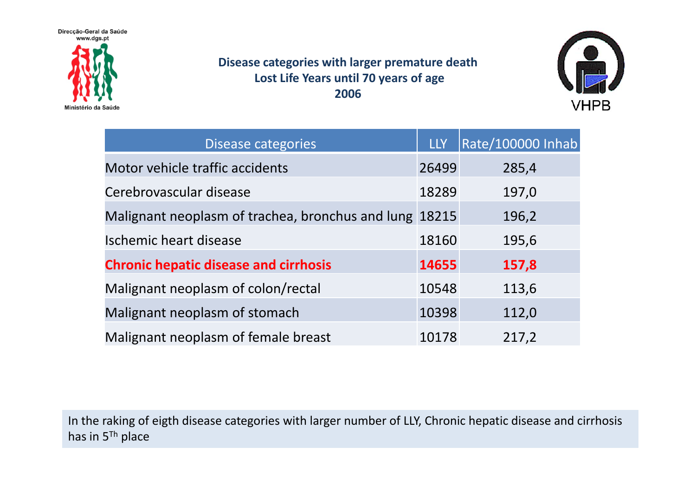Direcção-Geral da Saúde www.dgs.pt



#### **Disease categories with larger premature death Lost Life Years until 70 years of age 2006**



| Disease categories                                     | <b>LLY</b> | Rate/100000 Inhab |
|--------------------------------------------------------|------------|-------------------|
| Motor vehicle traffic accidents                        | 26499      | 285,4             |
| Cerebrovascular disease                                | 18289      | 197,0             |
| Malignant neoplasm of trachea, bronchus and lung 18215 |            | 196,2             |
| Ischemic heart disease                                 | 18160      | 195,6             |
| <b>Chronic hepatic disease and cirrhosis</b>           | 14655      | 157,8             |
| Malignant neoplasm of colon/rectal                     | 10548      | 113,6             |
| Malignant neoplasm of stomach                          | 10398      | 112,0             |
| Malignant neoplasm of female breast                    | 10178      | 217,2             |

In the raking of eigth disease categories with larger number of LLY, Chronic hepatic disease and cirrhosis has in <sup>5</sup>Th place